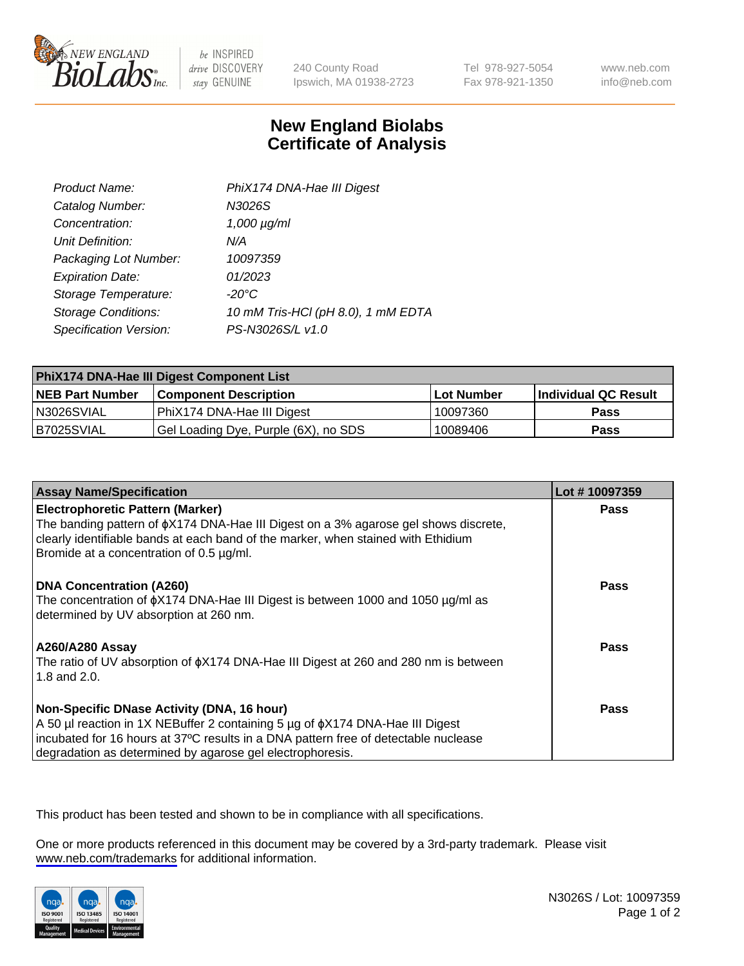

be INSPIRED drive DISCOVERY stay GENUINE

240 County Road Ipswich, MA 01938-2723 Tel 978-927-5054 Fax 978-921-1350

www.neb.com info@neb.com

## **New England Biolabs Certificate of Analysis**

| Product Name:              | PhiX174 DNA-Hae III Digest         |
|----------------------------|------------------------------------|
| Catalog Number:            | N3026S                             |
| Concentration:             | $1,000 \mu g/ml$                   |
| Unit Definition:           | N/A                                |
| Packaging Lot Number:      | 10097359                           |
| <b>Expiration Date:</b>    | 01/2023                            |
| Storage Temperature:       | -20°C                              |
| <b>Storage Conditions:</b> | 10 mM Tris-HCl (pH 8.0), 1 mM EDTA |
| Specification Version:     | PS-N3026S/L v1.0                   |

| PhiX174 DNA-Hae III Digest Component List |                                      |                   |                      |  |
|-------------------------------------------|--------------------------------------|-------------------|----------------------|--|
| <b>NEB Part Number</b>                    | <b>Component Description</b>         | <b>Lot Number</b> | Individual QC Result |  |
| N3026SVIAL                                | PhiX174 DNA-Hae III Digest           | 10097360          | <b>Pass</b>          |  |
| B7025SVIAL                                | Gel Loading Dye, Purple (6X), no SDS | 10089406          | <b>Pass</b>          |  |

| <b>Assay Name/Specification</b>                                                                                                      | Lot #10097359 |
|--------------------------------------------------------------------------------------------------------------------------------------|---------------|
| <b>Electrophoretic Pattern (Marker)</b><br>The banding pattern of $\phi$ X174 DNA-Hae III Digest on a 3% agarose gel shows discrete, | <b>Pass</b>   |
| clearly identifiable bands at each band of the marker, when stained with Ethidium<br>Bromide at a concentration of 0.5 µg/ml.        |               |
| <b>DNA Concentration (A260)</b>                                                                                                      | Pass          |
| The concentration of $\phi$ X174 DNA-Hae III Digest is between 1000 and 1050 µg/ml as<br>determined by UV absorption at 260 nm.      |               |
| <b>A260/A280 Assay</b>                                                                                                               | Pass          |
| The ratio of UV absorption of $\phi$ X174 DNA-Hae III Digest at 260 and 280 nm is between<br>1.8 and 2.0.                            |               |
| Non-Specific DNase Activity (DNA, 16 hour)                                                                                           | <b>Pass</b>   |
| A 50 µl reaction in 1X NEBuffer 2 containing 5 µg of $\phi$ X174 DNA-Hae III Digest                                                  |               |
| incubated for 16 hours at 37°C results in a DNA pattern free of detectable nuclease                                                  |               |
| degradation as determined by agarose gel electrophoresis.                                                                            |               |

This product has been tested and shown to be in compliance with all specifications.

One or more products referenced in this document may be covered by a 3rd-party trademark. Please visit <www.neb.com/trademarks>for additional information.